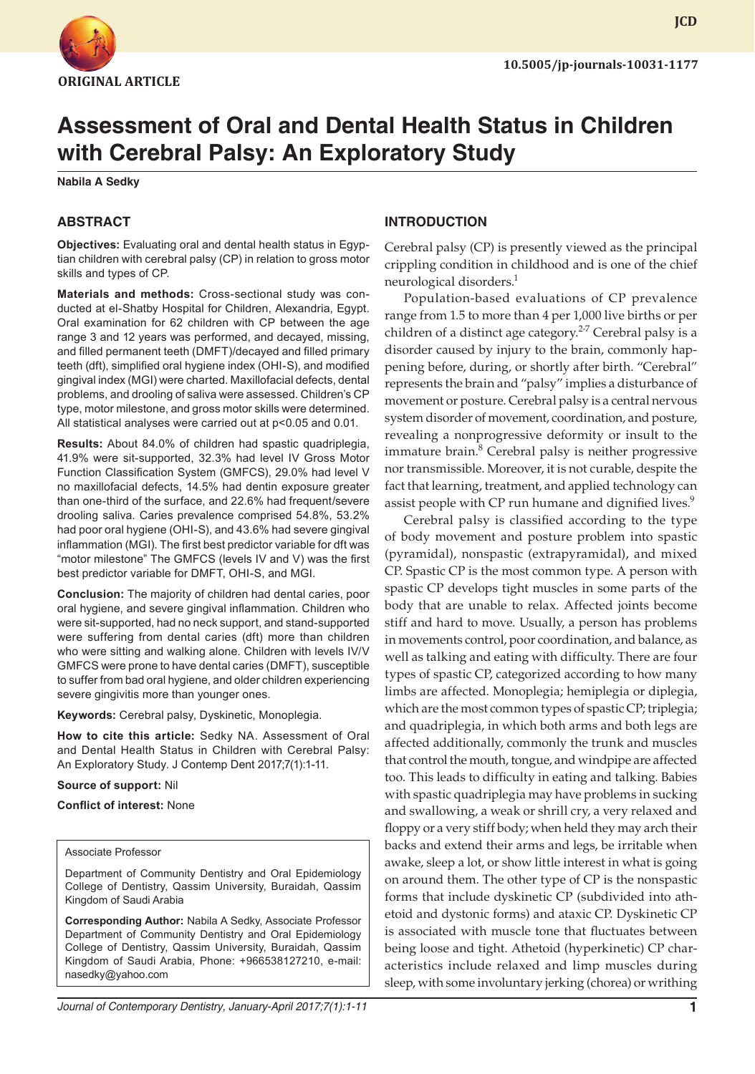

# **Assessment of Oral and Dental Health Status in Children with Cerebral Palsy: An Exploratory Study**

**Nabila A Sedky**

## **ABSTRACT**

**Objectives:** Evaluating oral and dental health status in Egyptian children with cerebral palsy (CP) in relation to gross motor skills and types of CP.

**Materials and methods:** Cross-sectional study was conducted at el-Shatby Hospital for Children, Alexandria, Egypt. Oral examination for 62 children with CP between the age range 3 and 12 years was performed, and decayed, missing, and filled permanent teeth (DMFT)/decayed and filled primary teeth (dft), simplified oral hygiene index (OHI-S), and modified gingival index (MGI) were charted. Maxillofacial defects, dental problems, and drooling of saliva were assessed. Children's CP type, motor milestone, and gross motor skills were determined. All statistical analyses were carried out at p<0.05 and 0.01.

**Results:** About 84.0% of children had spastic quadriplegia, 41.9% were sit-supported, 32.3% had level IV Gross Motor Function Classification System (GMFCS), 29.0% had level V no maxillofacial defects, 14.5% had dentin exposure greater than one-third of the surface, and 22.6% had frequent/severe drooling saliva. Caries prevalence comprised 54.8%, 53.2% had poor oral hygiene (OHI-S), and 43.6% had severe gingival inflammation (MGI). The first best predictor variable for dft was "motor milestone" The GMFCS (levels IV and V) was the first best predictor variable for DMFT, OHI-S, and MGI.

**Conclusion:** The majority of children had dental caries, poor oral hygiene, and severe gingival inflammation. Children who were sit-supported, had no neck support, and stand-supported were suffering from dental caries (dft) more than children who were sitting and walking alone. Children with levels IV/V GMFCS were prone to have dental caries (DMFT), susceptible to suffer from bad oral hygiene, and older children experiencing severe gingivitis more than younger ones.

**Keywords:** Cerebral palsy, Dyskinetic, Monoplegia.

**How to cite this article:** Sedky NA. Assessment of Oral and Dental Health Status in Children with Cerebral Palsy: An Exploratory Study. J Contemp Dent 2017;7(1):1-11.

#### **Source of support:** Nil

#### **Conflict of interest:** None

#### Associate Professor

Department of Community Dentistry and Oral Epidemiology College of Dentistry, Qassim University, Buraidah, Qassim Kingdom of Saudi Arabia

**Corresponding Author:** Nabila A Sedky, Associate Professor Department of Community Dentistry and Oral Epidemiology College of Dentistry, Qassim University, Buraidah, Qassim Kingdom of Saudi Arabia, Phone: +966538127210, e-mail: nasedky@yahoo.com

#### **INTRODUCTION**

Cerebral palsy (CP) is presently viewed as the principal crippling condition in childhood and is one of the chief neurological disorders.<sup>1</sup>

Population-based evaluations of CP prevalence range from 1.5 to more than 4 per 1,000 live births or per children of a distinct age category.<sup>2-7</sup> Cerebral palsy is a disorder caused by injury to the brain, commonly happening before, during, or shortly after birth. "Cerebral" represents the brain and "palsy" implies a disturbance of movement or posture. Cerebral palsy is a central nervous system disorder of movement, coordination, and posture, revealing a nonprogressive deformity or insult to the immature brain.<sup>8</sup> Cerebral palsy is neither progressive nor transmissible. Moreover, it is not curable, despite the fact that learning, treatment, and applied technology can assist people with CP run humane and dignified lives.<sup>9</sup>

Cerebral palsy is classified according to the type of body movement and posture problem into spastic (pyramidal), nonspastic (extrapyramidal), and mixed CP. Spastic CP is the most common type. A person with spastic CP develops tight muscles in some parts of the body that are unable to relax. Affected joints become stiff and hard to move. Usually, a person has problems in movements control, poor coordination, and balance, as well as talking and eating with difficulty. There are four types of spastic CP, categorized according to how many limbs are affected. Monoplegia; hemiplegia or diplegia, which are the most common types of spastic CP; triplegia; and quadriplegia, in which both arms and both legs are affected additionally, commonly the trunk and muscles that control the mouth, tongue, and windpipe are affected too. This leads to difficulty in eating and talking. Babies with spastic quadriplegia may have problems in sucking and swallowing, a weak or shrill cry, a very relaxed and floppy or a very stiff body; when held they may arch their backs and extend their arms and legs, be irritable when awake, sleep a lot, or show little interest in what is going on around them. The other type of CP is the nonspastic forms that include dyskinetic CP (subdivided into athetoid and dystonic forms) and ataxic CP. Dyskinetic CP is associated with muscle tone that fluctuates between being loose and tight. Athetoid (hyperkinetic) CP characteristics include relaxed and limp muscles during sleep, with some involuntary jerking (chorea) or writhing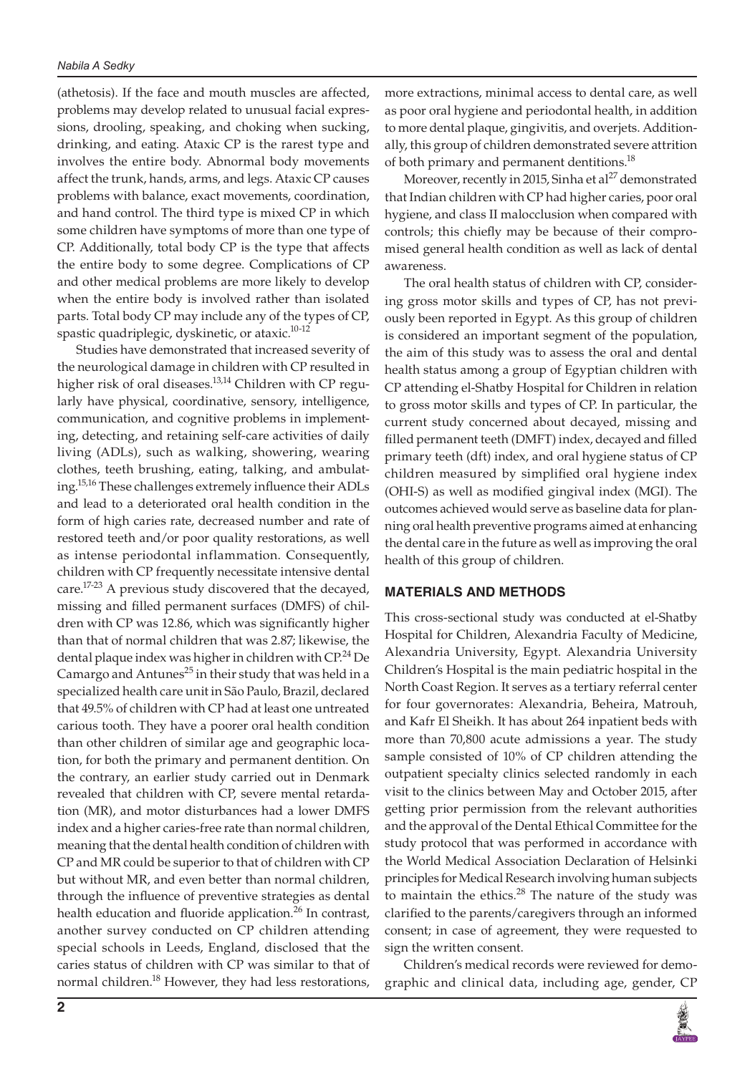(athetosis). If the face and mouth muscles are affected, problems may develop related to unusual facial expressions, drooling, speaking, and choking when sucking, drinking, and eating. Ataxic CP is the rarest type and involves the entire body. Abnormal body movements affect the trunk, hands, arms, and legs. Ataxic CP causes problems with balance, exact movements, coordination, and hand control. The third type is mixed CP in which some children have symptoms of more than one type of CP. Additionally, total body CP is the type that affects the entire body to some degree. Complications of CP and other medical problems are more likely to develop when the entire body is involved rather than isolated parts. Total body CP may include any of the types of CP, spastic quadriplegic, dyskinetic, or ataxic.<sup>10-12</sup>

Studies have demonstrated that increased severity of the neurological damage in children with CP resulted in higher risk of oral diseases.<sup>13,14</sup> Children with CP regularly have physical, coordinative, sensory, intelligence, communication, and cognitive problems in implementing, detecting, and retaining self-care activities of daily living (ADLs), such as walking, showering, wearing clothes, teeth brushing, eating, talking, and ambulating.15,16 These challenges extremely influence their ADLs and lead to a deteriorated oral health condition in the form of high caries rate, decreased number and rate of restored teeth and/or poor quality restorations, as well as intense periodontal inflammation. Consequently, children with CP frequently necessitate intensive dental care.17-23 A previous study discovered that the decayed, missing and filled permanent surfaces (DMFS) of children with CP was 12.86, which was significantly higher than that of normal children that was 2.87; likewise, the dental plaque index was higher in children with  $\mathbb{CP}^{24}$  De Camargo and Antunes<sup>25</sup> in their study that was held in a specialized health care unit in São Paulo, Brazil, declared that 49.5% of children with CP had at least one untreated carious tooth. They have a poorer oral health condition than other children of similar age and geographic location, for both the primary and permanent dentition. On the contrary, an earlier study carried out in Denmark revealed that children with CP, severe mental retardation (MR), and motor disturbances had a lower DMFS index and a higher caries-free rate than normal children, meaning that the dental health condition of children with CP and MR could be superior to that of children with CP but without MR, and even better than normal children, through the influence of preventive strategies as dental health education and fluoride application.<sup>26</sup> In contrast, another survey conducted on CP children attending special schools in Leeds, England, disclosed that the caries status of children with CP was similar to that of normal children.18 However, they had less restorations,

more extractions, minimal access to dental care, as well as poor oral hygiene and periodontal health, in addition to more dental plaque, gingivitis, and overjets. Additionally, this group of children demonstrated severe attrition of both primary and permanent dentitions.<sup>18</sup>

Moreover, recently in 2015, Sinha et al<sup>27</sup> demonstrated that Indian children with CP had higher caries, poor oral hygiene, and class II malocclusion when compared with controls; this chiefly may be because of their compromised general health condition as well as lack of dental awareness.

The oral health status of children with CP, considering gross motor skills and types of CP, has not previously been reported in Egypt. As this group of children is considered an important segment of the population, the aim of this study was to assess the oral and dental health status among a group of Egyptian children with CP attending el-Shatby Hospital for Children in relation to gross motor skills and types of CP. In particular, the current study concerned about decayed, missing and filled permanent teeth (DMFT) index, decayed and filled primary teeth (dft) index, and oral hygiene status of CP children measured by simplified oral hygiene index (OHI-S) as well as modified gingival index (MGI). The outcomes achieved would serve as baseline data for planning oral health preventive programs aimed at enhancing the dental care in the future as well as improving the oral health of this group of children.

## **MATERIALS AND METHODS**

This cross-sectional study was conducted at el-Shatby Hospital for Children, Alexandria Faculty of Medicine, Alexandria University, Egypt. Alexandria University Children's Hospital is the main pediatric hospital in the North Coast Region. It serves as a tertiary referral center for four governorates: Alexandria, Beheira, Matrouh, and Kafr El Sheikh. It has about 264 inpatient beds with more than 70,800 acute admissions a year. The study sample consisted of 10% of CP children attending the outpatient specialty clinics selected randomly in each visit to the clinics between May and October 2015, after getting prior permission from the relevant authorities and the approval of the Dental Ethical Committee for the study protocol that was performed in accordance with the World Medical Association Declaration of Helsinki principles for Medical Research involving human subjects to maintain the ethics. $28$  The nature of the study was clarified to the parents/caregivers through an informed consent; in case of agreement, they were requested to sign the written consent.

Children's medical records were reviewed for demographic and clinical data, including age, gender, CP

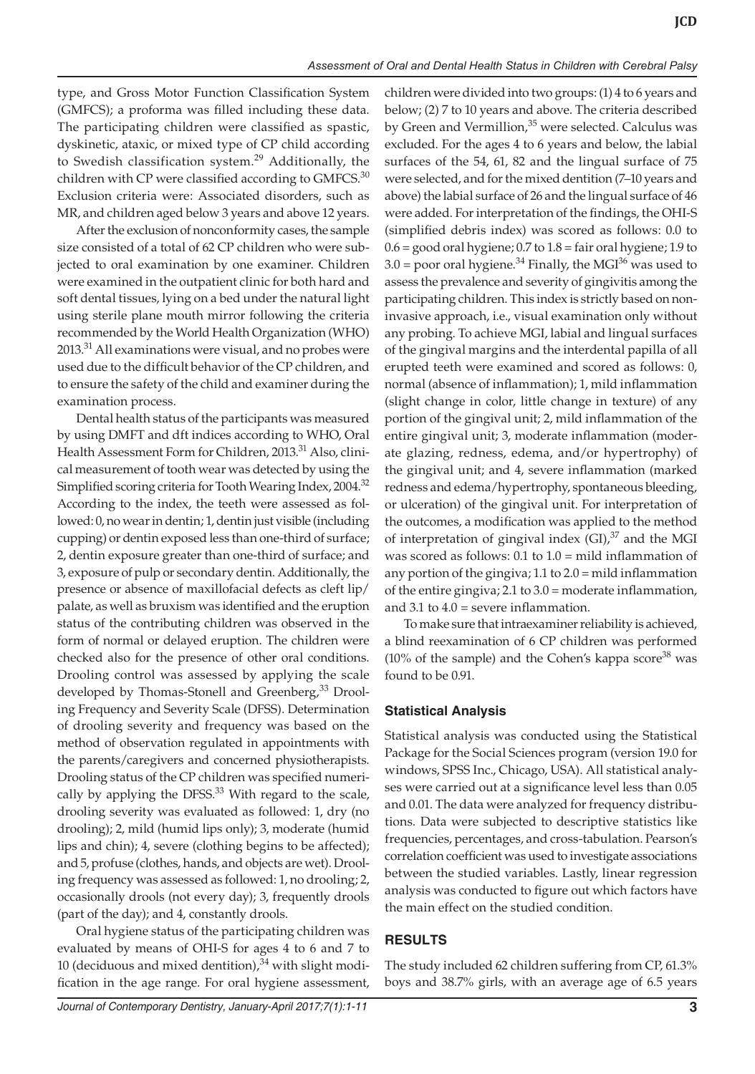type, and Gross Motor Function Classification System (GMFCS); a proforma was filled including these data. The participating children were classified as spastic, dyskinetic, ataxic, or mixed type of CP child according to Swedish classification system.<sup>29</sup> Additionally, the children with CP were classified according to  $GMFCS$ <sup>30</sup> Exclusion criteria were: Associated disorders, such as MR, and children aged below 3 years and above 12 years.

After the exclusion of nonconformity cases, the sample size consisted of a total of 62 CP children who were subjected to oral examination by one examiner. Children were examined in the outpatient clinic for both hard and soft dental tissues, lying on a bed under the natural light using sterile plane mouth mirror following the criteria recommended by the World Health Organization (WHO) 2013.<sup>31</sup> All examinations were visual, and no probes were used due to the difficult behavior of the CP children, and to ensure the safety of the child and examiner during the examination process.

Dental health status of the participants was measured by using DMFT and dft indices according to WHO, Oral Health Assessment Form for Children, 2013.<sup>31</sup> Also, clinical measurement of tooth wear was detected by using the Simplified scoring criteria for Tooth Wearing Index, 2004.<sup>32</sup> According to the index, the teeth were assessed as followed: 0, no wear in dentin; 1, dentin just visible (including cupping) or dentin exposed less than one-third of surface; 2, dentin exposure greater than one-third of surface; and 3, exposure of pulp or secondary dentin. Additionally, the presence or absence of maxillofacial defects as cleft lip/ palate, as well as bruxism was identified and the eruption status of the contributing children was observed in the form of normal or delayed eruption. The children were checked also for the presence of other oral conditions. Drooling control was assessed by applying the scale developed by Thomas-Stonell and Greenberg,<sup>33</sup> Drooling Frequency and Severity Scale (DFSS). Determination of drooling severity and frequency was based on the method of observation regulated in appointments with the parents/caregivers and concerned physiotherapists. Drooling status of the CP children was specified numerically by applying the DFSS. $33$  With regard to the scale, drooling severity was evaluated as followed: 1, dry (no drooling); 2, mild (humid lips only); 3, moderate (humid lips and chin); 4, severe (clothing begins to be affected); and 5, profuse (clothes, hands, and objects are wet). Drooling frequency was assessed as followed: 1, no drooling; 2, occasionally drools (not every day); 3, frequently drools (part of the day); and 4, constantly drools.

Oral hygiene status of the participating children was evaluated by means of OHI-S for ages 4 to 6 and 7 to 10 (deciduous and mixed dentition), $34$  with slight modification in the age range. For oral hygiene assessment,

children were divided into two groups: (1) 4 to 6 years and below; (2) 7 to 10 years and above. The criteria described by Green and Vermillion,<sup>35</sup> were selected. Calculus was excluded. For the ages 4 to 6 years and below, the labial surfaces of the 54, 61, 82 and the lingual surface of 75 were selected, and for the mixed dentition (7–10 years and above) the labial surface of 26 and the lingual surface of 46 were added. For interpretation of the findings, the OHI-S (simplified debris index) was scored as follows: 0.0 to  $0.6 =$  good oral hygiene;  $0.7$  to  $1.8 =$  fair oral hygiene; 1.9 to  $3.0$  = poor oral hygiene.<sup>34</sup> Finally, the MGI<sup>36</sup> was used to assess the prevalence and severity of gingivitis among the participating children. This index is strictly based on noninvasive approach, i.e., visual examination only without any probing. To achieve MGI, labial and lingual surfaces of the gingival margins and the interdental papilla of all erupted teeth were examined and scored as follows: 0, normal (absence of inflammation); 1, mild inflammation (slight change in color, little change in texture) of any portion of the gingival unit; 2, mild inflammation of the entire gingival unit; 3, moderate inflammation (moderate glazing, redness, edema, and/or hypertrophy) of the gingival unit; and 4, severe inflammation (marked redness and edema/hypertrophy, spontaneous bleeding, or ulceration) of the gingival unit. For interpretation of the outcomes, a modification was applied to the method of interpretation of gingival index  $(GI),$ <sup>37</sup> and the MGI was scored as follows: 0.1 to 1.0 = mild inflammation of any portion of the gingiva; 1.1 to 2.0 = mild inflammation of the entire gingiva; 2.1 to 3.0 = moderate inflammation, and 3.1 to  $4.0$  = severe inflammation.

To make sure that intraexaminer reliability is achieved, a blind reexamination of 6 CP children was performed  $(10\% \text{ of the sample})$  and the Cohen's kappa score<sup>38</sup> was found to be 0.91.

## **Statistical Analysis**

Statistical analysis was conducted using the Statistical Package for the Social Sciences program (version 19.0 for windows, SPSS Inc., Chicago, USA). All statistical analyses were carried out at a significance level less than 0.05 and 0.01. The data were analyzed for frequency distributions. Data were subjected to descriptive statistics like frequencies, percentages, and cross-tabulation. Pearson's correlation coefficient was used to investigate associations between the studied variables. Lastly, linear regression analysis was conducted to figure out which factors have the main effect on the studied condition.

## **RESULTS**

The study included 62 children suffering from CP, 61.3% boys and 38.7% girls, with an average age of 6.5 years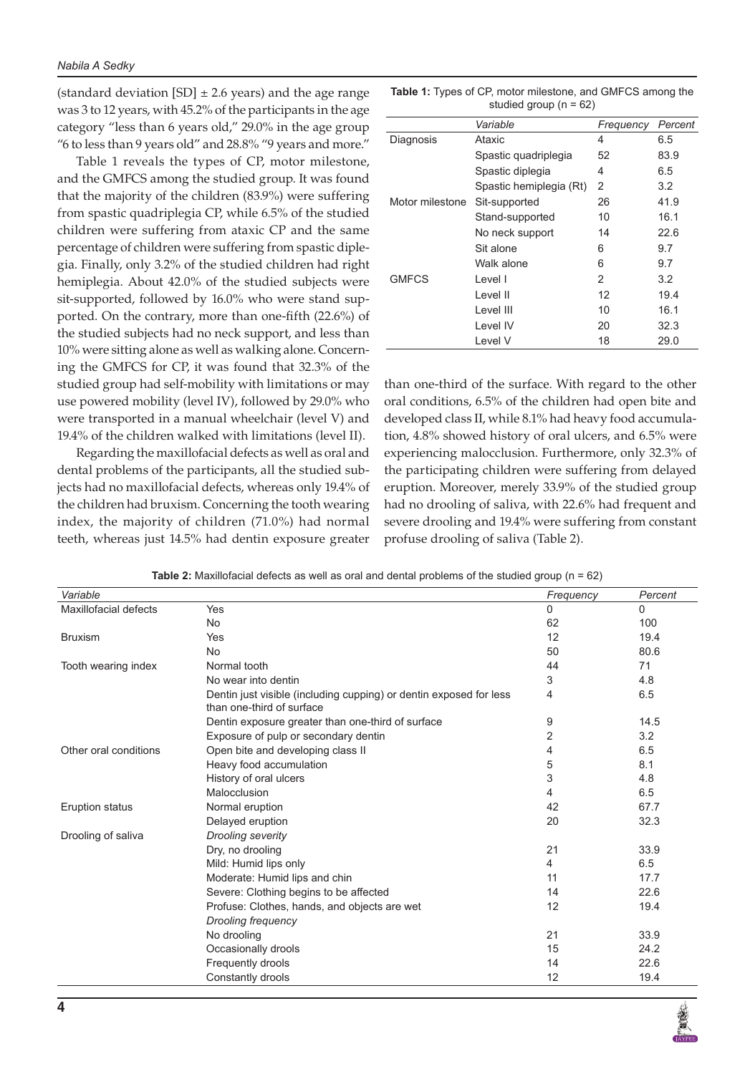(standard deviation  $[SD] \pm 2.6$  years) and the age range was 3 to 12 years, with 45.2% of the participants in the age category "less than 6 years old," 29.0% in the age group "6 to less than 9 years old" and 28.8% "9 years and more."

Table 1 reveals the types of CP, motor milestone, and the GMFCS among the studied group. It was found that the majority of the children (83.9%) were suffering from spastic quadriplegia CP, while 6.5% of the studied children were suffering from ataxic CP and the same percentage of children were suffering from spastic diplegia. Finally, only 3.2% of the studied children had right hemiplegia. About 42.0% of the studied subjects were sit-supported, followed by 16.0% who were stand supported. On the contrary, more than one-fifth (22.6%) of the studied subjects had no neck support, and less than 10% were sitting alone as well as walking alone. Concerning the GMFCS for CP, it was found that 32.3% of the studied group had self-mobility with limitations or may use powered mobility (level IV), followed by 29.0% who were transported in a manual wheelchair (level V) and 19.4% of the children walked with limitations (level II).

Regarding the maxillofacial defects as well as oral and dental problems of the participants, all the studied subjects had no maxillofacial defects, whereas only 19.4% of the children had bruxism. Concerning the tooth wearing index, the majority of children (71.0%) had normal teeth, whereas just 14.5% had dentin exposure greater

| <b>Table 1:</b> Types of CP, motor milestone, and GMFCS among the |                            |  |  |
|-------------------------------------------------------------------|----------------------------|--|--|
|                                                                   | studied group ( $n = 62$ ) |  |  |

|                 | Variable                | Frequency | Percent |
|-----------------|-------------------------|-----------|---------|
| Diagnosis       | Ataxic                  | 4         | 6.5     |
|                 | Spastic quadriplegia    | 52        | 83.9    |
|                 | Spastic diplegia        | 4         | 6.5     |
|                 | Spastic hemiplegia (Rt) | 2         | 3.2     |
| Motor milestone | Sit-supported           | 26        | 41.9    |
|                 | Stand-supported         | 10        | 16.1    |
|                 | No neck support         | 14        | 22.6    |
|                 | Sit alone               | 6         | 9.7     |
|                 | Walk alone              | 6         | 9.7     |
| <b>GMFCS</b>    | Level I                 | 2         | 3.2     |
|                 | Level II                | 12        | 19.4    |
|                 | Level III               | 10        | 16.1    |
|                 | Level IV                | 20        | 32.3    |
|                 | Level V                 | 18        | 29.0    |

than one-third of the surface. With regard to the other oral conditions, 6.5% of the children had open bite and developed class II, while 8.1% had heavy food accumulation, 4.8% showed history of oral ulcers, and 6.5% were experiencing malocclusion. Furthermore, only 32.3% of the participating children were suffering from delayed eruption. Moreover, merely 33.9% of the studied group had no drooling of saliva, with 22.6% had frequent and severe drooling and 19.4% were suffering from constant profuse drooling of saliva (Table 2).

| Variable               |                                                                                                 | Frequency | Percent      |
|------------------------|-------------------------------------------------------------------------------------------------|-----------|--------------|
| Maxillofacial defects  | Yes                                                                                             | 0         | $\mathbf{0}$ |
|                        | <b>No</b>                                                                                       | 62        | 100          |
| <b>Bruxism</b>         | Yes                                                                                             | 12        | 19.4         |
|                        | <b>No</b>                                                                                       | 50        | 80.6         |
| Tooth wearing index    | Normal tooth                                                                                    | 44        | 71           |
|                        | No wear into dentin                                                                             | 3         | 4.8          |
|                        | Dentin just visible (including cupping) or dentin exposed for less<br>than one-third of surface | 4         | 6.5          |
|                        | Dentin exposure greater than one-third of surface                                               | 9         | 14.5         |
|                        | Exposure of pulp or secondary dentin                                                            | 2         | 3.2          |
| Other oral conditions  | Open bite and developing class II                                                               | 4         | 6.5          |
|                        | Heavy food accumulation                                                                         | 5         | 8.1          |
|                        | History of oral ulcers                                                                          | 3         | 4.8          |
|                        | Malocclusion                                                                                    | 4         | 6.5          |
| <b>Eruption status</b> | Normal eruption                                                                                 | 42        | 67.7         |
|                        | Delayed eruption                                                                                | 20        | 32.3         |
| Drooling of saliva     | <b>Drooling severity</b>                                                                        |           |              |
|                        | Dry, no drooling                                                                                | 21        | 33.9         |
|                        | Mild: Humid lips only                                                                           | 4         | 6.5          |
|                        | Moderate: Humid lips and chin                                                                   | 11        | 17.7         |
|                        | Severe: Clothing begins to be affected                                                          | 14        | 22.6         |
|                        | Profuse: Clothes, hands, and objects are wet                                                    | 12        | 19.4         |
|                        | <b>Drooling frequency</b>                                                                       |           |              |
|                        | No drooling                                                                                     | 21        | 33.9         |
|                        | Occasionally drools                                                                             | 15        | 24.2         |
|                        | Frequently drools                                                                               | 14        | 22.6         |
|                        | Constantly drools                                                                               | 12        | 19.4         |

**Table 2:** Maxillofacial defects as well as oral and dental problems of the studied group (n = 62)

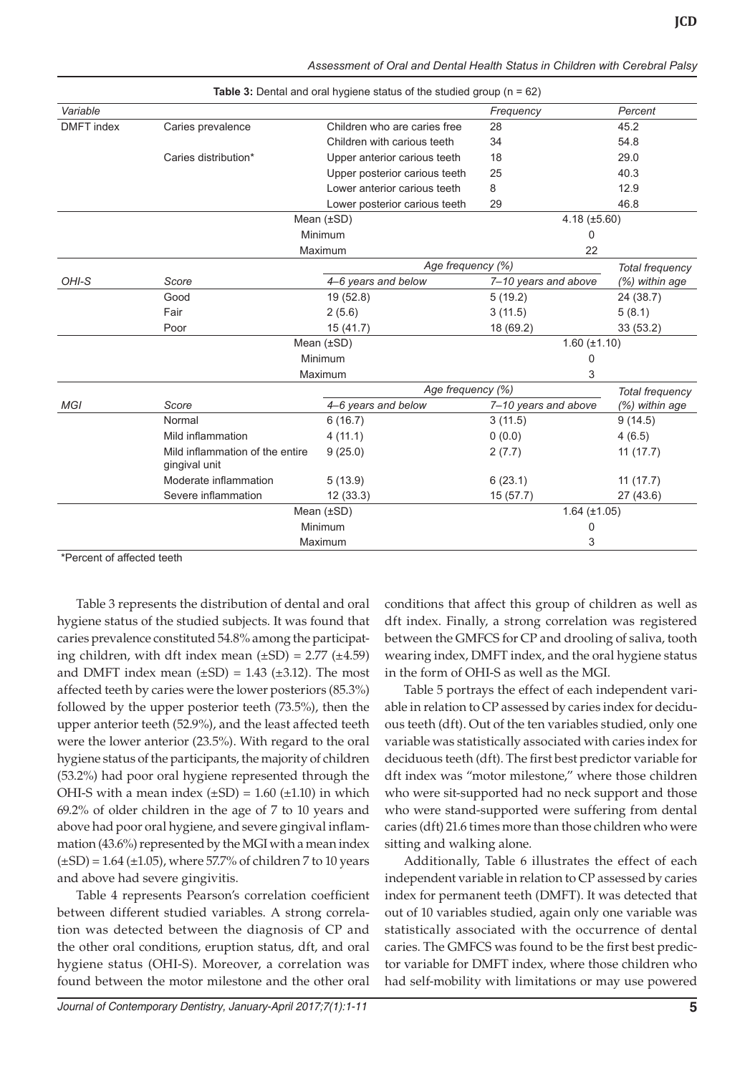| Assessment of Oral and Dental Health Status in Children with Cerebral Palsy |  |  |  |  |
|-----------------------------------------------------------------------------|--|--|--|--|
|                                                                             |  |  |  |  |

|                   |                                 | <b>Table 3:</b> Dental and oral hygiene status of the studied group $(n = 62)$ |                      |                  |
|-------------------|---------------------------------|--------------------------------------------------------------------------------|----------------------|------------------|
| Variable          |                                 |                                                                                | Frequency            | Percent          |
| <b>DMFT</b> index | Caries prevalence               | Children who are caries free                                                   | 28                   | 45.2             |
|                   |                                 | Children with carious teeth                                                    | 34                   | 54.8             |
|                   | Caries distribution*            | Upper anterior carious teeth                                                   | 18                   | 29.0             |
|                   |                                 | Upper posterior carious teeth                                                  | 25                   | 40.3             |
|                   |                                 | Lower anterior carious teeth                                                   | 8                    | 12.9             |
|                   |                                 | Lower posterior carious teeth                                                  | 29                   | 46.8             |
|                   |                                 | Mean $(\pm SD)$                                                                | $4.18 \ (\pm 5.60)$  |                  |
|                   |                                 | Minimum                                                                        | 0                    |                  |
|                   |                                 | Maximum                                                                        | 22                   |                  |
|                   |                                 | Age frequency (%)                                                              |                      | Total frequency  |
| OHI-S             | Score                           | 4–6 years and below                                                            | 7-10 years and above | (%) within age   |
|                   | Good                            | 19 (52.8)                                                                      | 5(19.2)              | 24 (38.7)        |
|                   | Fair                            | 2(5.6)                                                                         | 3(11.5)              | 5(8.1)           |
|                   | Poor                            | 15 (41.7)                                                                      | 18 (69.2)            | 33(53.2)         |
|                   |                                 | Mean $(\pm SD)$                                                                | $1.60 (\pm 1.10)$    |                  |
|                   |                                 | Minimum                                                                        | 0                    |                  |
|                   |                                 | Maximum                                                                        | 3                    |                  |
|                   |                                 | Age frequency (%)                                                              |                      | Total frequency  |
| <b>MGI</b>        | Score                           | 4-6 years and below                                                            | 7-10 years and above | $(%)$ within age |
|                   | Normal                          | 6(16.7)                                                                        | 3(11.5)              | 9(14.5)          |
|                   | Mild inflammation               | 4(11.1)                                                                        | 0(0.0)               | 4(6.5)           |
|                   | Mild inflammation of the entire | 9(25.0)                                                                        | 2(7.7)               | 11(17.7)         |
|                   | gingival unit                   |                                                                                |                      |                  |
|                   | Moderate inflammation           | 5(13.9)                                                                        | 6(23.1)              | 11(17.7)         |
|                   | Severe inflammation             | 12(33.3)                                                                       | 15 (57.7)            | 27(43.6)         |
|                   |                                 | Mean $(\pm SD)$                                                                | $1.64 \ (\pm 1.05)$  |                  |
|                   |                                 | Minimum                                                                        | 0                    |                  |
|                   |                                 | Maximum                                                                        | 3                    |                  |

**Table 3:** Dental and oral hygiene status of the studied group (n = 62)

\*Percent of affected teeth

Table 3 represents the distribution of dental and oral hygiene status of the studied subjects. It was found that caries prevalence constituted 54.8% among the participating children, with dft index mean  $(\pm SD) = 2.77 (\pm 4.59)$ and DMFT index mean  $(\pm SD) = 1.43$   $(\pm 3.12)$ . The most affected teeth by caries were the lower posteriors (85.3%) followed by the upper posterior teeth (73.5%), then the upper anterior teeth (52.9%), and the least affected teeth were the lower anterior (23.5%). With regard to the oral hygiene status of the participants, the majority of children (53.2%) had poor oral hygiene represented through the OHI-S with a mean index  $(\pm SD) = 1.60$   $(\pm 1.10)$  in which 69.2% of older children in the age of 7 to 10 years and above had poor oral hygiene, and severe gingival inflammation (43.6%) represented by the MGI with a mean index  $(\pm SD) = 1.64 (\pm 1.05)$ , where 57.7% of children 7 to 10 years and above had severe gingivitis.

Table 4 represents Pearson's correlation coefficient between different studied variables. A strong correlation was detected between the diagnosis of CP and the other oral conditions, eruption status, dft, and oral hygiene status (OHI-S). Moreover, a correlation was found between the motor milestone and the other oral conditions that affect this group of children as well as dft index. Finally, a strong correlation was registered between the GMFCS for CP and drooling of saliva, tooth wearing index, DMFT index, and the oral hygiene status in the form of OHI-S as well as the MGI.

Table 5 portrays the effect of each independent variable in relation to CP assessed by caries index for deciduous teeth (dft). Out of the ten variables studied, only one variable was statistically associated with caries index for deciduous teeth (dft). The first best predictor variable for dft index was "motor milestone," where those children who were sit-supported had no neck support and those who were stand-supported were suffering from dental caries (dft) 21.6 times more than those children who were sitting and walking alone.

Additionally, Table 6 illustrates the effect of each independent variable in relation to CP assessed by caries index for permanent teeth (DMFT). It was detected that out of 10 variables studied, again only one variable was statistically associated with the occurrence of dental caries. The GMFCS was found to be the first best predictor variable for DMFT index, where those children who had self-mobility with limitations or may use powered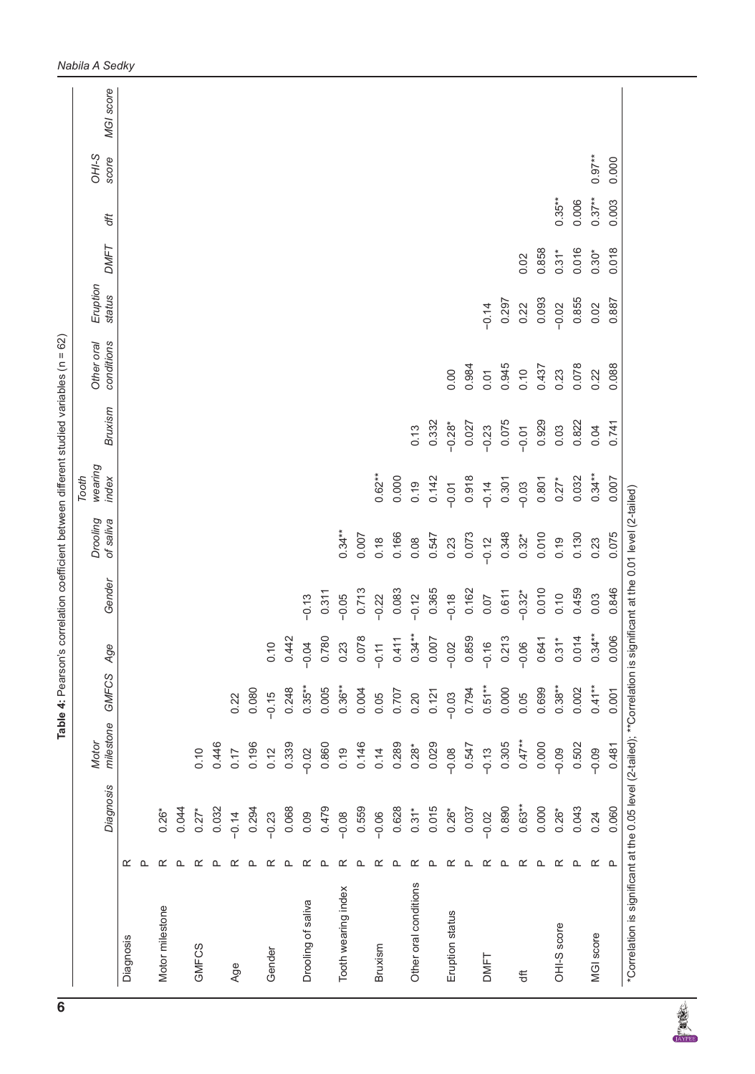|                       |                  | <b>Diagnosis</b> | milestone<br>Motor | GMFCS     | Age                       | Gender   | Drooling<br>of saliva | wearing<br>index<br>Tooth | Bruxism  | conditions<br>Other oral | Eruption<br>status | <b>DMFT</b> | đħ        | OHI-S<br>score | MGI score |
|-----------------------|------------------|------------------|--------------------|-----------|---------------------------|----------|-----------------------|---------------------------|----------|--------------------------|--------------------|-------------|-----------|----------------|-----------|
| Diagnosis             | ≃                |                  |                    |           |                           |          |                       |                           |          |                          |                    |             |           |                |           |
|                       | ൨                |                  |                    |           |                           |          |                       |                           |          |                          |                    |             |           |                |           |
| Motor milestone       | ≃                | $0.26*$          |                    |           |                           |          |                       |                           |          |                          |                    |             |           |                |           |
|                       | ൨                | 0.044            |                    |           |                           |          |                       |                           |          |                          |                    |             |           |                |           |
| GMFCS                 | ≃                | $0.27*$          | 0.10               |           |                           |          |                       |                           |          |                          |                    |             |           |                |           |
|                       | ൨                | 0.032            | 0.446              |           |                           |          |                       |                           |          |                          |                    |             |           |                |           |
| Age                   | ≃                | $-0.14$          | 0.17               | 0.22      |                           |          |                       |                           |          |                          |                    |             |           |                |           |
|                       | ௨                | 0.294            | 0.196              | 0.080     |                           |          |                       |                           |          |                          |                    |             |           |                |           |
| Gender                | ≃                | $-0.23$          | 0.12               | $-0.15$   | $\circ$<br>$\overline{C}$ |          |                       |                           |          |                          |                    |             |           |                |           |
|                       | ௨                | 0.068            | 0.339              | 0.248     | 0.442                     |          |                       |                           |          |                          |                    |             |           |                |           |
| Drooling of saliva    | ≃                | 0.09             | $-0.02$            | $0.35***$ | $-0.04$                   | $-0.13$  |                       |                           |          |                          |                    |             |           |                |           |
|                       | ௨                | 0.479            | 0.860              | 0.005     | 0.780                     | 0.311    |                       |                           |          |                          |                    |             |           |                |           |
| Tooth wearing index   | ≃                | $-0.08$          | 0.19               | $0.36**$  | 0.23                      | $-0.05$  | $0.34***$             |                           |          |                          |                    |             |           |                |           |
|                       | ൨                | 0.559            | 0.146              | 0.004     | 0.078                     | 0.713    | 0.007                 |                           |          |                          |                    |             |           |                |           |
| Bruxism               | ≃                | $-0.06$          | 0.14               | 0.05      | $-0.11$                   | $-0.22$  | 0.18                  | $0.62***$                 |          |                          |                    |             |           |                |           |
|                       | ≏                | 0.628            | 0.289              | 0.707     | 0.411                     | 0.083    | 0.166                 | 0.000                     |          |                          |                    |             |           |                |           |
| Other oral conditions | œ                | $0.31*$          | $0.28*$            | 0.20      | $0.34***$                 | $-0.12$  | 0.08                  | 0.19                      | 0.13     |                          |                    |             |           |                |           |
|                       | ௨                | 0.015            | 0.029              | 0.121     | 0.007                     | 0.365    | 0.547                 | 0.142                     | 0.332    |                          |                    |             |           |                |           |
| Eruption status       | ≃                | $0.26*$          | $-0.08$            | $-0.03$   | $-0.02$                   | $-0.18$  | 0.23                  | $-0.01$                   | $-0.28*$ | 0.00                     |                    |             |           |                |           |
|                       | ௨                | 0.037            | 0.547              | 0.794     | 0.859                     | 0.162    | 0.073                 | 0.918                     | 0.027    | 0.984                    |                    |             |           |                |           |
| DMFT                  | œ                | $-0.02$          | $-0.13$            | $0.51**$  | $\circ$<br>$-0.1$         | 0.07     | $-0.12$               | $-0.14$                   | $-0.23$  | 0.01                     | $-0.14$            |             |           |                |           |
|                       | ൨                | 0.890            | 0.305              | 0.000     | 0.213                     | 0.611    | 0.348                 | 0.301                     | 0.075    | 0.945                    | 0.297              |             |           |                |           |
| も                     | ≃                | $0.63**$         | $0.47***$          | 0.05      | $-0.06$                   | $-0.32*$ | $0.32*$               | $-0.03$                   | $-0.01$  | 0.10                     | 0.22               | 0.02        |           |                |           |
|                       | ௨                | 0.000            | 0.000              | 0.699     | 0.641                     | 0.010    | 0.010                 | 0.801                     | 0.929    | 0.437                    | 0.093              | 0.858       |           |                |           |
| OHI-S score           | ≃                | $0.26*$          | $-0.09$            | $0.38***$ | $0.31*$                   | 0.10     | 0.19                  | $0.27*$                   | 0.03     | 0.23                     | $-0.02$            | $0.31*$     | $0.35***$ |                |           |
|                       | $\mathsf \Omega$ | 0.043            | 0.502              | 0.002     | 0.014                     | 0.459    | 0.130                 | 0.032                     | 0.822    | 0.078                    | 0.855              | 0.016       | 0.006     |                |           |
| MGI score             | ≃                | 0.24             | $-0.09$            | $0.41**$  | $0.34***$                 | 0.03     | 0.23                  | $0.34***$                 | 0.04     | 0.22                     | 0.02               | $0.30*$     | $0.37**$  | $0.97***$      |           |
|                       | $\Omega$         | 0.060            | 0.481              | 0.001     | 0.006                     | 0.846    | 0.075                 | 0.007                     | 0.741    | 0.088                    | 0.887              | 0.018       | 0.003     | 0.000          |           |

**REAL**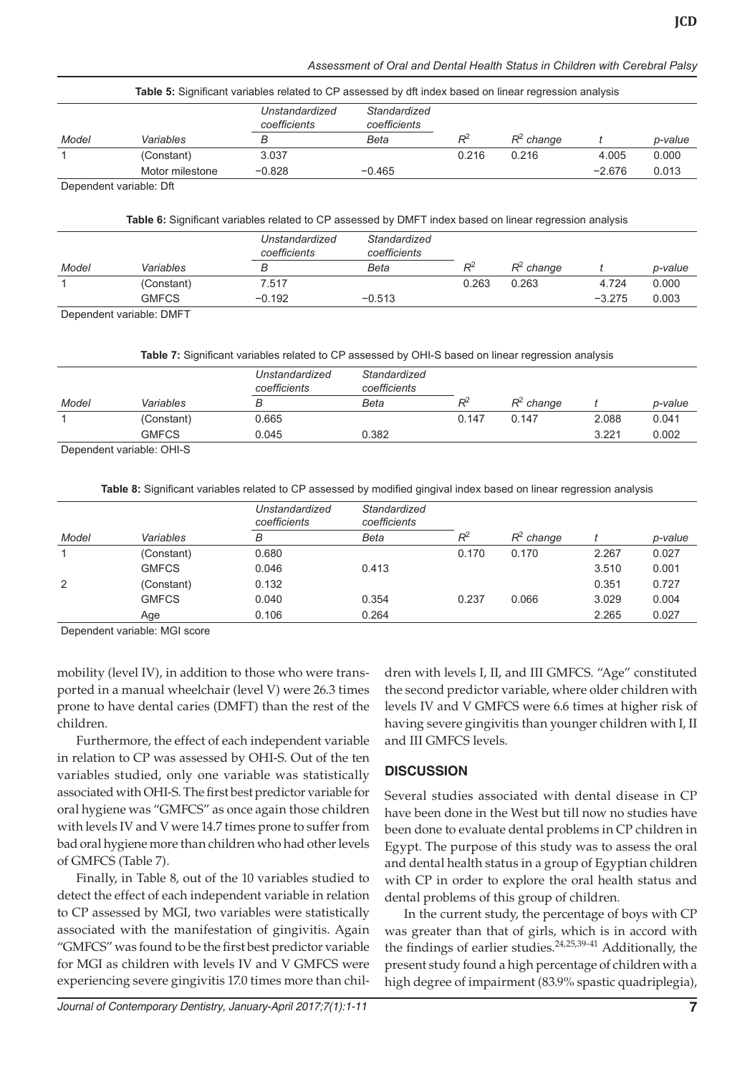| Assessment of Oral and Dental Health Status in Children with Cerebral Palsy |  |  |
|-----------------------------------------------------------------------------|--|--|
|                                                                             |  |  |

|       |                         | Table 5: Significant variables related to CP assessed by dft index based on linear regression analysis |                              |       |              |          |         |
|-------|-------------------------|--------------------------------------------------------------------------------------------------------|------------------------------|-------|--------------|----------|---------|
|       |                         | Unstandardized<br>coefficients                                                                         | Standardized<br>coefficients |       |              |          |         |
| Model | Variables               | в                                                                                                      | Beta                         | $R^2$ | $R^2$ change |          | p-value |
|       | (Constant)              | 3.037                                                                                                  |                              | 0.216 | 0.216        | 4.005    | 0.000   |
|       | Motor milestone         | $-0.828$                                                                                               | $-0.465$                     |       |              | $-2.676$ | 0.013   |
|       | Denendent variable: Dft |                                                                                                        |                              |       |              |          |         |

pendent variable: Dft

| Table 6: Significant variables related to CP assessed by DMFT index based on linear regression analysis |  |  |
|---------------------------------------------------------------------------------------------------------|--|--|
|---------------------------------------------------------------------------------------------------------|--|--|

|                          |                | Unstandardized<br>coefficients | Standardized<br>coefficients |                |              |          |         |
|--------------------------|----------------|--------------------------------|------------------------------|----------------|--------------|----------|---------|
| Model                    | Variables      | В                              | Beta                         | $\mathsf{R}^2$ | $R^2$ change |          | p-value |
|                          | (Constant)     | 7.517                          |                              | 0.263          | 0.263        | 4.724    | 0.000   |
|                          | <b>GMFCS</b>   | $-0.192$                       | $-0.513$                     |                |              | $-3.275$ | 0.003   |
| $\overline{\phantom{a}}$ | _ _ _ _ _<br>. |                                |                              |                |              |          |         |

Dependent variable: DMFT

**Table 7:** Significant variables related to CP assessed by OHI-S based on linear regression analysis

|                           |              | Unstandardized<br>coefficients | Standardized<br>coefficients |         |              |       |         |
|---------------------------|--------------|--------------------------------|------------------------------|---------|--------------|-------|---------|
| Model                     | Variables    |                                | Beta                         | $\,R^2$ | $R^2$ change |       | p-value |
|                           | (Constant)   | 0.665                          |                              | 0.147   | 0.147        | 2.088 | 0.041   |
|                           | <b>GMFCS</b> | 0.045                          | 0.382                        |         |              | 3.221 | 0.002   |
| Donandont variable: OUI C |              |                                |                              |         |              |       |         |

Dependent variable: OHI-S

**Table 8:** Significant variables related to CP assessed by modified gingival index based on linear regression analysis

|       |              | Unstandardized<br>coefficients | Standardized<br>coefficients |       |              |       |         |
|-------|--------------|--------------------------------|------------------------------|-------|--------------|-------|---------|
| Model | Variables    | B                              | Beta                         | $R^2$ | $R^2$ change |       | p-value |
|       | (Constant)   | 0.680                          |                              | 0.170 | 0.170        | 2.267 | 0.027   |
|       | <b>GMFCS</b> | 0.046                          | 0.413                        |       |              | 3.510 | 0.001   |
| 2     | (Constant)   | 0.132                          |                              |       |              | 0.351 | 0.727   |
|       | <b>GMFCS</b> | 0.040                          | 0.354                        | 0.237 | 0.066        | 3.029 | 0.004   |
|       | Age          | 0.106                          | 0.264                        |       |              | 2.265 | 0.027   |
|       | .            |                                |                              |       |              |       |         |

Dependent variable: MGI score

mobility (level IV), in addition to those who were transported in a manual wheelchair (level V) were 26.3 times prone to have dental caries (DMFT) than the rest of the children.

Furthermore, the effect of each independent variable in relation to CP was assessed by OHI-S. Out of the ten variables studied, only one variable was statistically associated with OHI-S. The first best predictor variable for oral hygiene was "GMFCS" as once again those children with levels IV and V were 14.7 times prone to suffer from bad oral hygiene more than children who had other levels of GMFCS (Table 7).

Finally, in Table 8, out of the 10 variables studied to detect the effect of each independent variable in relation to CP assessed by MGI, two variables were statistically associated with the manifestation of gingivitis. Again "GMFCS" was found to be the first best predictor variable for MGI as children with levels IV and V GMFCS were experiencing severe gingivitis 17.0 times more than chil-

*Journal of Contemporary Dentistry, January-April 2017;7(1):1-11* **7**

dren with levels I, II, and III GMFCS. "Age" constituted the second predictor variable, where older children with levels IV and V GMFCS were 6.6 times at higher risk of having severe gingivitis than younger children with I, II and III GMFCS levels.

# **DISCUSSION**

Several studies associated with dental disease in CP have been done in the West but till now no studies have been done to evaluate dental problems in CP children in Egypt. The purpose of this study was to assess the oral and dental health status in a group of Egyptian children with CP in order to explore the oral health status and dental problems of this group of children.

In the current study, the percentage of boys with CP was greater than that of girls, which is in accord with the findings of earlier studies. $24,25,39-41$  Additionally, the present study found a high percentage of children with a high degree of impairment (83.9% spastic quadriplegia),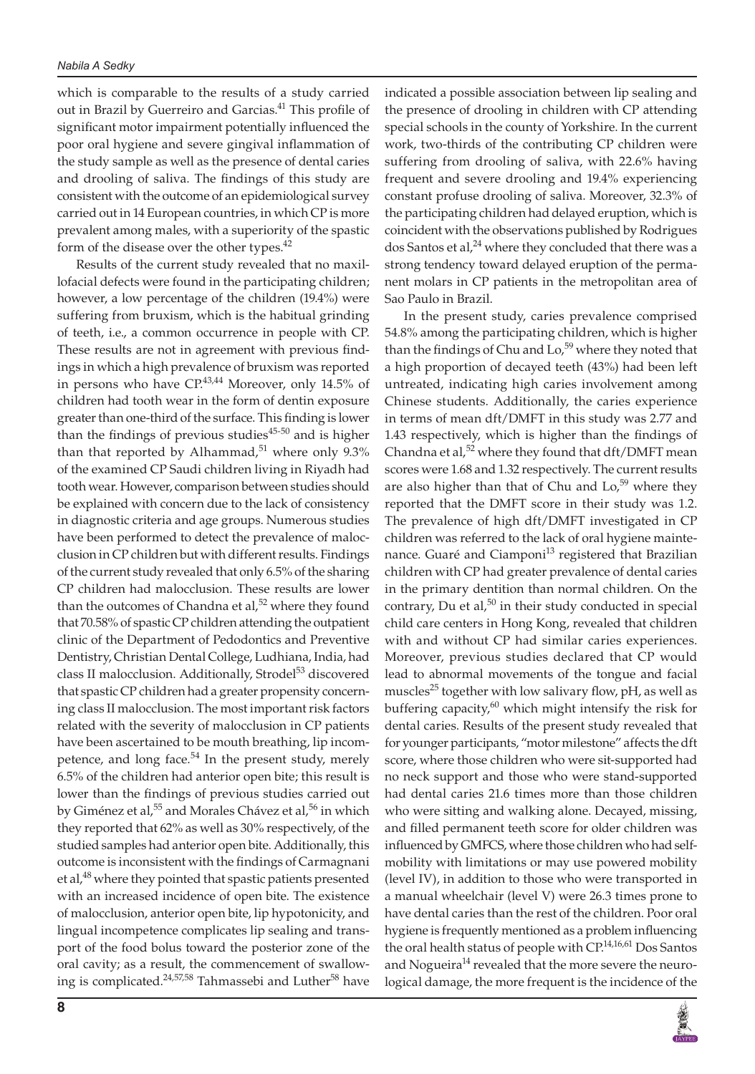which is comparable to the results of a study carried out in Brazil by Guerreiro and Garcias.<sup>41</sup> This profile of significant motor impairment potentially influenced the poor oral hygiene and severe gingival inflammation of the study sample as well as the presence of dental caries and drooling of saliva. The findings of this study are consistent with the outcome of an epidemiological survey carried out in 14 European countries, in which CP is more prevalent among males, with a superiority of the spastic form of the disease over the other types.<sup>42</sup>

Results of the current study revealed that no maxillofacial defects were found in the participating children; however, a low percentage of the children (19.4%) were suffering from bruxism, which is the habitual grinding of teeth, i.e., a common occurrence in people with CP. These results are not in agreement with previous findings in which a high prevalence of bruxism was reported in persons who have  $CP^{43,44}$  Moreover, only 14.5% of children had tooth wear in the form of dentin exposure greater than one-third of the surface. This finding is lower than the findings of previous studies $45-50$  and is higher than that reported by Alhammad, $51$  where only 9.3% of the examined CP Saudi children living in Riyadh had tooth wear. However, comparison between studies should be explained with concern due to the lack of consistency in diagnostic criteria and age groups. Numerous studies have been performed to detect the prevalence of malocclusion in CP children but with different results. Findings of the current study revealed that only 6.5% of the sharing CP children had malocclusion. These results are lower than the outcomes of Chandna et  $al<sub>2</sub>$ <sup>52</sup> where they found that 70.58% of spastic CP children attending the outpatient clinic of the Department of Pedodontics and Preventive Dentistry, Christian Dental College, Ludhiana, India, had class II malocclusion. Additionally, Strodel<sup>53</sup> discovered that spastic CP children had a greater propensity concerning class II malocclusion. The most important risk factors related with the severity of malocclusion in CP patients have been ascertained to be mouth breathing, lip incompetence, and long face.<sup>54</sup> In the present study, merely 6.5% of the children had anterior open bite; this result is lower than the findings of previous studies carried out by Giménez et al,<sup>55</sup> and Morales Chávez et al,<sup>56</sup> in which they reported that 62% as well as 30% respectively, of the studied samples had anterior open bite. Additionally, this outcome is inconsistent with the findings of Carmagnani et al,<sup>48</sup> where they pointed that spastic patients presented with an increased incidence of open bite. The existence of malocclusion, anterior open bite, lip hypotonicity, and lingual incompetence complicates lip sealing and transport of the food bolus toward the posterior zone of the oral cavity; as a result, the commencement of swallowing is complicated.<sup>24,57,58</sup> Tahmassebi and Luther<sup>58</sup> have

**8**

indicated a possible association between lip sealing and the presence of drooling in children with CP attending special schools in the county of Yorkshire. In the current work, two-thirds of the contributing CP children were suffering from drooling of saliva, with 22.6% having frequent and severe drooling and 19.4% experiencing constant profuse drooling of saliva. Moreover, 32.3% of the participating children had delayed eruption, which is coincident with the observations published by Rodrigues dos Santos et al, $^{24}$  where they concluded that there was a strong tendency toward delayed eruption of the permanent molars in CP patients in the metropolitan area of Sao Paulo in Brazil.

In the present study, caries prevalence comprised 54.8% among the participating children, which is higher than the findings of Chu and Lo,<sup>59</sup> where they noted that a high proportion of decayed teeth (43%) had been left untreated, indicating high caries involvement among Chinese students. Additionally, the caries experience in terms of mean dft/DMFT in this study was 2.77 and 1.43 respectively, which is higher than the findings of Chandna et al, $52$  where they found that dft/DMFT mean scores were 1.68 and 1.32 respectively. The current results are also higher than that of Chu and  $Lo<sub>1</sub>$ <sup>59</sup> where they reported that the DMFT score in their study was 1.2. The prevalence of high dft/DMFT investigated in CP children was referred to the lack of oral hygiene maintenance. Guaré and Ciamponi<sup>13</sup> registered that Brazilian children with CP had greater prevalence of dental caries in the primary dentition than normal children. On the contrary, Du et al, $50$  in their study conducted in special child care centers in Hong Kong, revealed that children with and without CP had similar caries experiences. Moreover, previous studies declared that CP would lead to abnormal movements of the tongue and facial muscles<sup>25</sup> together with low salivary flow,  $pH$ , as well as buffering capacity, $60$  which might intensify the risk for dental caries. Results of the present study revealed that for younger participants, "motor milestone" affects the dft score, where those children who were sit-supported had no neck support and those who were stand-supported had dental caries 21.6 times more than those children who were sitting and walking alone. Decayed, missing, and filled permanent teeth score for older children was influenced by GMFCS, where those children who had selfmobility with limitations or may use powered mobility (level IV), in addition to those who were transported in a manual wheelchair (level V) were 26.3 times prone to have dental caries than the rest of the children. Poor oral hygiene is frequently mentioned as a problem influencing the oral health status of people with CP.<sup>14,16,61</sup> Dos Santos and Nogueira<sup>14</sup> revealed that the more severe the neurological damage, the more frequent is the incidence of the

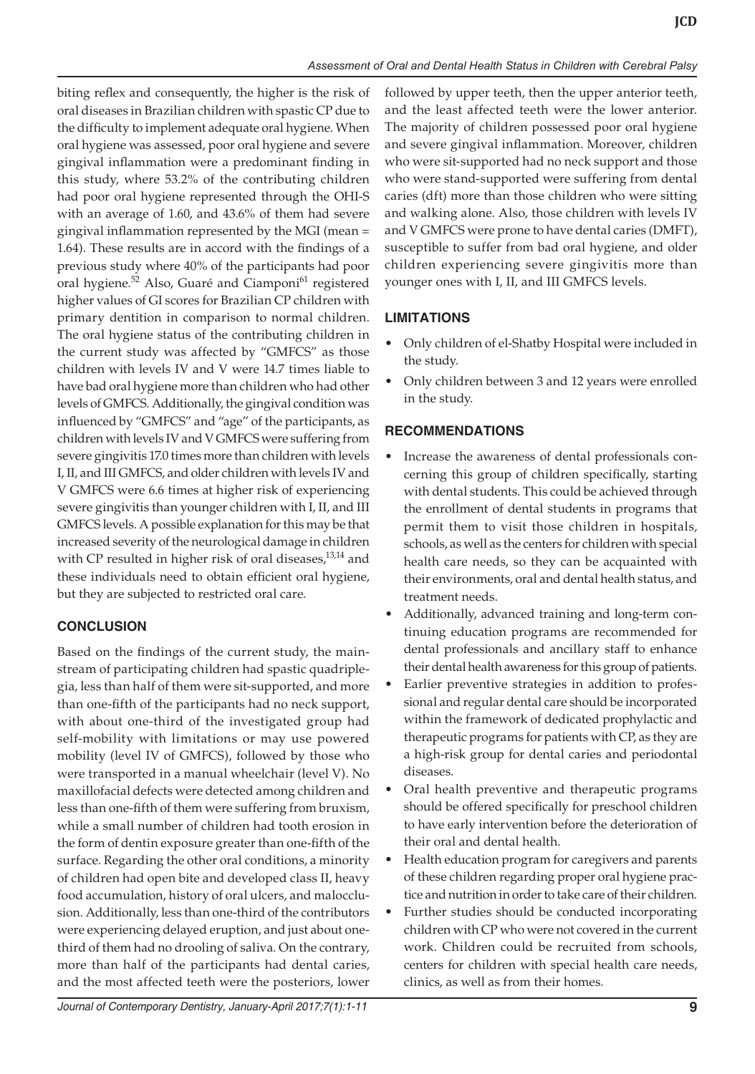biting reflex and consequently, the higher is the risk of oral diseases in Brazilian children with spastic CP due to the difficulty to implement adequate oral hygiene. When oral hygiene was assessed, poor oral hygiene and severe gingival inflammation were a predominant finding in this study, where 53.2% of the contributing children had poor oral hygiene represented through the OHI-S with an average of 1.60, and 43.6% of them had severe gingival inflammation represented by the MGI (mean = 1.64). These results are in accord with the findings of a previous study where 40% of the participants had poor oral hygiene.<sup>52</sup> Also, Guaré and Ciamponi<sup>61</sup> registered higher values of GI scores for Brazilian CP children with primary dentition in comparison to normal children. The oral hygiene status of the contributing children in the current study was affected by "GMFCS" as those children with levels IV and V were 14.7 times liable to have bad oral hygiene more than children who had other levels of GMFCS. Additionally, the gingival condition was influenced by "GMFCS" and "age" of the participants, as children with levels IV and V GMFCS were suffering from severe gingivitis 17.0 times more than children with levels I, II, and III GMFCS, and older children with levels IV and V GMFCS were 6.6 times at higher risk of experiencing severe gingivitis than younger children with I, II, and III GMFCS levels. A possible explanation for this may be that increased severity of the neurological damage in children with CP resulted in higher risk of oral diseases, $13,14$  and these individuals need to obtain efficient oral hygiene, but they are subjected to restricted oral care.

# **CONCLUSION**

Based on the findings of the current study, the mainstream of participating children had spastic quadriplegia, less than half of them were sit-supported, and more than one-fifth of the participants had no neck support, with about one-third of the investigated group had self-mobility with limitations or may use powered mobility (level IV of GMFCS), followed by those who were transported in a manual wheelchair (level V). No maxillofacial defects were detected among children and less than one-fifth of them were suffering from bruxism, while a small number of children had tooth erosion in the form of dentin exposure greater than one-fifth of the surface. Regarding the other oral conditions, a minority of children had open bite and developed class II, heavy food accumulation, history of oral ulcers, and malocclusion. Additionally, less than one-third of the contributors were experiencing delayed eruption, and just about onethird of them had no drooling of saliva. On the contrary, more than half of the participants had dental caries, and the most affected teeth were the posteriors, lower

followed by upper teeth, then the upper anterior teeth, and the least affected teeth were the lower anterior. The majority of children possessed poor oral hygiene and severe gingival inflammation. Moreover, children who were sit-supported had no neck support and those who were stand-supported were suffering from dental caries (dft) more than those children who were sitting and walking alone. Also, those children with levels IV and V GMFCS were prone to have dental caries (DMFT), susceptible to suffer from bad oral hygiene, and older children experiencing severe gingivitis more than younger ones with I, II, and III GMFCS levels.

# **LIMITATIONS**

- Only children of el-Shatby Hospital were included in the study.
- Only children between 3 and 12 years were enrolled in the study.

# **RECOMMENDATIONS**

- Increase the awareness of dental professionals concerning this group of children specifically, starting with dental students. This could be achieved through the enrollment of dental students in programs that permit them to visit those children in hospitals, schools, as well as the centers for children with special health care needs, so they can be acquainted with their environments, oral and dental health status, and treatment needs.
- Additionally, advanced training and long-term continuing education programs are recommended for dental professionals and ancillary staff to enhance their dental health awareness for this group of patients.
- Earlier preventive strategies in addition to professional and regular dental care should be incorporated within the framework of dedicated prophylactic and therapeutic programs for patients with CP, as they are a high-risk group for dental caries and periodontal diseases.
- Oral health preventive and therapeutic programs should be offered specifically for preschool children to have early intervention before the deterioration of their oral and dental health.
- Health education program for caregivers and parents of these children regarding proper oral hygiene practice and nutrition in order to take care of their children.
- Further studies should be conducted incorporating children with CP who were not covered in the current work. Children could be recruited from schools, centers for children with special health care needs, clinics, as well as from their homes.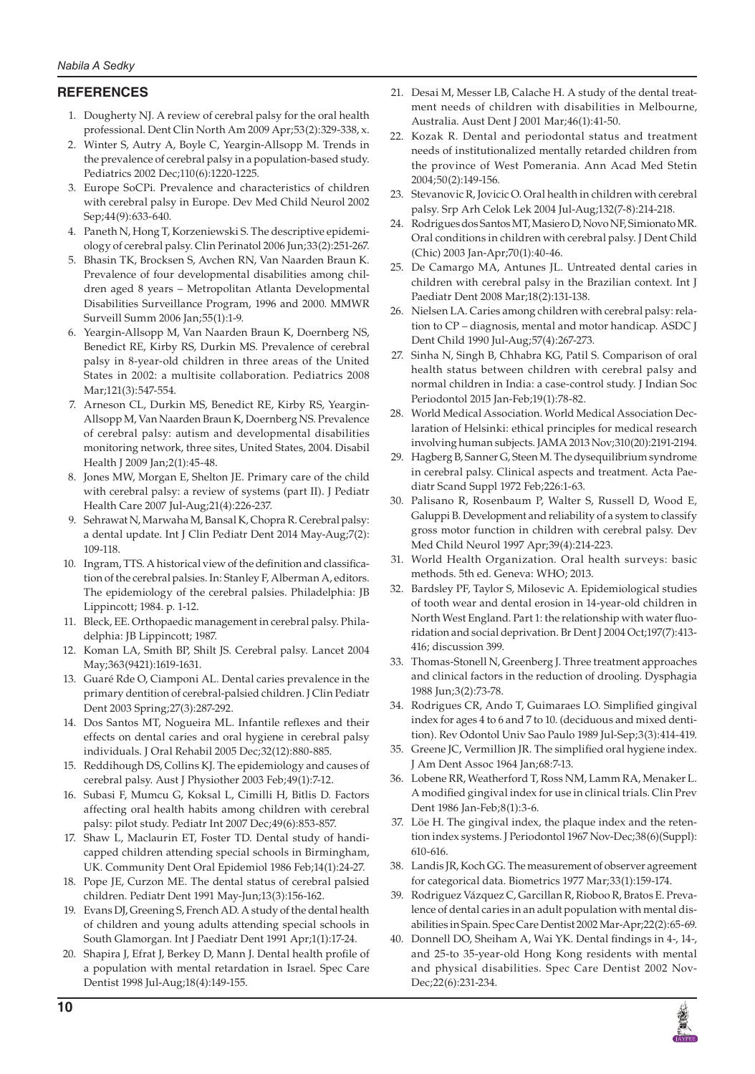## **REFERENCES**

- 1. Dougherty NJ. A review of cerebral palsy for the oral health professional. Dent Clin North Am 2009 Apr;53(2):329-338, x.
- 2. Winter S, Autry A, Boyle C, Yeargin-Allsopp M. Trends in the prevalence of cerebral palsy in a population-based study. Pediatrics 2002 Dec;110(6):1220-1225.
- 3. Europe SoCPi. Prevalence and characteristics of children with cerebral palsy in Europe. Dev Med Child Neurol 2002 Sep;44(9):633-640.
- 4. Paneth N, Hong T, Korzeniewski S. The descriptive epidemiology of cerebral palsy. Clin Perinatol 2006 Jun;33(2):251-267.
- 5. Bhasin TK, Brocksen S, Avchen RN, Van Naarden Braun K. Prevalence of four developmental disabilities among children aged 8 years – Metropolitan Atlanta Developmental Disabilities Surveillance Program, 1996 and 2000. MMWR Surveill Summ 2006 Jan;55(1):1-9.
- 6. Yeargin-Allsopp M, Van Naarden Braun K, Doernberg NS, Benedict RE, Kirby RS, Durkin MS. Prevalence of cerebral palsy in 8-year-old children in three areas of the United States in 2002: a multisite collaboration. Pediatrics 2008 Mar;121(3):547-554.
- 7. Arneson CL, Durkin MS, Benedict RE, Kirby RS, Yeargin-Allsopp M, Van Naarden Braun K, Doernberg NS. Prevalence of cerebral palsy: autism and developmental disabilities monitoring network, three sites, United States, 2004. Disabil Health J 2009 Jan;2(1):45-48.
- 8. Jones MW, Morgan E, Shelton JE. Primary care of the child with cerebral palsy: a review of systems (part II). J Pediatr Health Care 2007 Jul-Aug;21(4):226-237.
- 9. Sehrawat N, Marwaha M, Bansal K, Chopra R. Cerebral palsy: a dental update. Int J Clin Pediatr Dent 2014 May-Aug;7(2): 109-118.
- 10. Ingram, TTS. A historical view of the definition and classification of the cerebral palsies. In: Stanley F, Alberman A, editors. The epidemiology of the cerebral palsies. Philadelphia: JB Lippincott; 1984. p. 1-12.
- 11. Bleck, EE. Orthopaedic management in cerebral palsy. Philadelphia: JB Lippincott; 1987.
- 12. Koman LA, Smith BP, Shilt JS. Cerebral palsy. Lancet 2004 May;363(9421):1619-1631.
- 13. Guaré Rde O, Ciamponi AL. Dental caries prevalence in the primary dentition of cerebral-palsied children. J Clin Pediatr Dent 2003 Spring;27(3):287-292.
- 14. Dos Santos MT, Nogueira ML. Infantile reflexes and their effects on dental caries and oral hygiene in cerebral palsy individuals. J Oral Rehabil 2005 Dec;32(12):880-885.
- 15. Reddihough DS, Collins KJ. The epidemiology and causes of cerebral palsy. Aust J Physiother 2003 Feb;49(1):7-12.
- 16. Subasi F, Mumcu G, Koksal L, Cimilli H, Bitlis D. Factors affecting oral health habits among children with cerebral palsy: pilot study. Pediatr Int 2007 Dec;49(6):853-857.
- 17. Shaw L, Maclaurin ET, Foster TD. Dental study of handicapped children attending special schools in Birmingham, UK. Community Dent Oral Epidemiol 1986 Feb;14(1):24-27.
- 18. Pope JE, Curzon ME. The dental status of cerebral palsied children. Pediatr Dent 1991 May-Jun;13(3):156-162.
- 19. Evans DJ, Greening S, French AD. A study of the dental health of children and young adults attending special schools in South Glamorgan. Int J Paediatr Dent 1991 Apr;1(1):17-24.
- 20. Shapira J, Efrat J, Berkey D, Mann J. Dental health profile of a population with mental retardation in Israel. Spec Care Dentist 1998 Jul-Aug;18(4):149-155.
- 21. Desai M, Messer LB, Calache H. A study of the dental treatment needs of children with disabilities in Melbourne, Australia. Aust Dent J 2001 Mar;46(1):41-50.
- 22. Kozak R. Dental and periodontal status and treatment needs of institutionalized mentally retarded children from the province of West Pomerania. Ann Acad Med Stetin 2004;50(2):149-156.
- 23. Stevanovic R, Jovicic O. Oral health in children with cerebral palsy. Srp Arh Celok Lek 2004 Jul-Aug;132(7-8):214-218.
- 24. Rodrigues dos Santos MT, Masiero D, Novo NF, Simionato MR. Oral conditions in children with cerebral palsy. J Dent Child (Chic) 2003 Jan-Apr;70(1):40-46.
- 25. De Camargo MA, Antunes JL. Untreated dental caries in children with cerebral palsy in the Brazilian context. Int J Paediatr Dent 2008 Mar;18(2):131-138.
- 26. Nielsen LA. Caries among children with cerebral palsy: relation to CP – diagnosis, mental and motor handicap. ASDC J Dent Child 1990 Jul-Aug;57(4):267-273.
- 27. Sinha N, Singh B, Chhabra KG, Patil S. Comparison of oral health status between children with cerebral palsy and normal children in India: a case-control study. J Indian Soc Periodontol 2015 Jan-Feb;19(1):78-82.
- 28. World Medical Association. World Medical Association Declaration of Helsinki: ethical principles for medical research involving human subjects. JAMA 2013 Nov;310(20):2191-2194.
- 29. Hagberg B, Sanner G, Steen M. The dysequilibrium syndrome in cerebral palsy. Clinical aspects and treatment. Acta Paediatr Scand Suppl 1972 Feb;226:1-63.
- 30. Palisano R, Rosenbaum P, Walter S, Russell D, Wood E, Galuppi B. Development and reliability of a system to classify gross motor function in children with cerebral palsy. Dev Med Child Neurol 1997 Apr;39(4):214-223.
- 31. World Health Organization. Oral health surveys: basic methods. 5th ed. Geneva: WHO; 2013.
- 32. Bardsley PF, Taylor S, Milosevic A. Epidemiological studies of tooth wear and dental erosion in 14-year-old children in North West England. Part 1: the relationship with water fluoridation and social deprivation. Br Dent J 2004 Oct;197(7):413- 416; discussion 399.
- 33. Thomas-Stonell N, Greenberg J. Three treatment approaches and clinical factors in the reduction of drooling. Dysphagia 1988 Jun;3(2):73-78.
- 34. Rodrigues CR, Ando T, Guimaraes LO. Simplified gingival index for ages 4 to 6 and 7 to 10. (deciduous and mixed dentition). Rev Odontol Univ Sao Paulo 1989 Jul-Sep;3(3):414-419.
- 35. Greene JC, Vermillion JR. The simplified oral hygiene index. J Am Dent Assoc 1964 Jan;68:7-13.
- 36. Lobene RR, Weatherford T, Ross NM, Lamm RA, Menaker L. A modified gingival index for use in clinical trials. Clin Prev Dent 1986 Jan-Feb;8(1):3-6.
- 37. Löe H. The gingival index, the plaque index and the retention index systems. J Periodontol 1967 Nov-Dec;38(6)(Suppl): 610-616.
- 38. Landis JR, Koch GG. The measurement of observer agreement for categorical data. Biometrics 1977 Mar;33(1):159-174.
- 39. Rodriguez Vázquez C, Garcillan R, Rioboo R, Bratos E. Prevalence of dental caries in an adult population with mental disabilities in Spain. Spec Care Dentist 2002 Mar-Apr;22(2):65-69.
- 40. Donnell DO, Sheiham A, Wai YK. Dental findings in 4-, 14-, and 25-to 35-year-old Hong Kong residents with mental and physical disabilities. Spec Care Dentist 2002 Nov-Dec;22(6):231-234.